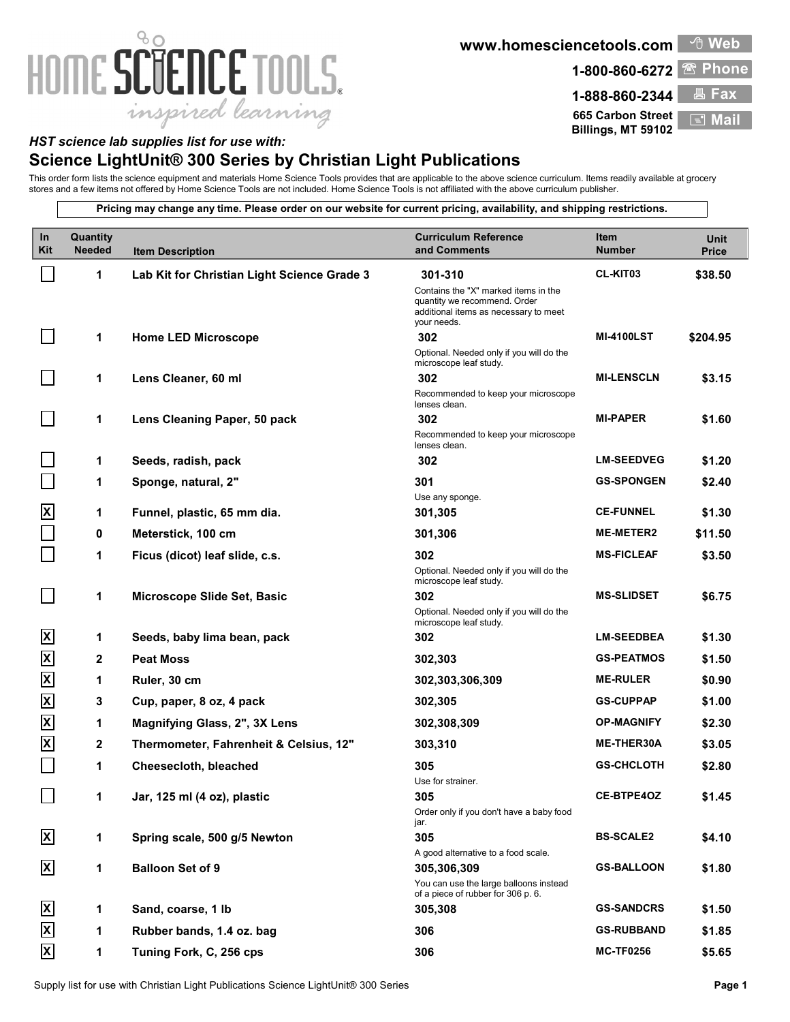## HOME SCIENCE TOOLS. inspired learning

**www.homesciencetools.com Web** 



**665 Carbon Street**

**1-888-860-2344 Fax Billings, MT 59102 E** Mai

## *HST science lab supplies list for use with:* **Science LightUnit® 300 Series by Christian Light Publications**

This order form lists the science equipment and materials Home Science Tools provides that are applicable to the above science curriculum. Items readily available at grocery stores and a few items not offered by Home Science Tools are not included. Home Science Tools is not affiliated with the above curriculum publisher.

**Pricing may change any time. Please order on our website for current pricing, availability, and shipping restrictions. Quantity Needed Item Description In Kit Item Number Unit Price Curriculum Reference and Comments 1 Lab Kit for Christian Light Science Grade 3 301-310 CL-KIT03 \$38.50** Contains the "X" marked items in the quantity we recommend. Order additional items as necessary to meet your needs. **1 Home LED Microscope 302 MI-4100LST \$204.95** Optional. Needed only if you will do the microscope leaf study. **1 Lens Cleaner, 60 ml 302 MI-LENSCLN \$3.15** Recommended to keep your microscope lenses clean. **1 Lens Cleaning Paper, 50 pack 302 MI-PAPER \$1.60** Recommended to keep your microscope lenses clean. **1 Seeds, radish, pack 302 LM-SEEDVEG \$1.20 1 Sponge, natural, 2" 301 GS-SPONGEN \$2.40** Use any sponge. **X 1 Funnel, plastic, 65 mm dia. 301,305 CE-FUNNEL \$1.30 0 Meterstick, 100 cm 301,306 ME-METER2 \$11.50 1 Ficus (dicot) leaf slide, c.s. 302 MS-FICLEAF \$3.50** Optional. Needed only if you will do the microscope leaf study. **1 Microscope Slide Set, Basic 302 MS-SLIDSET \$6.75** Optional. Needed only if you will do the microscope leaf study. **X 1 Seeds, baby lima bean, pack 302 LM-SEEDBEA \$1.30 X 2 Peat Moss 302,303 GS-PEATMOS \$1.50 X 1 Ruler, 30 cm 302,303,306,309 ME-RULER \$0.90 X 3 Cup, paper, 8 oz, 4 pack 302,305 GS-CUPPAP \$1.00 X 1 Magnifying Glass, 2", 3X Lens 302,308,309 OP-MAGNIFY \$2.30 X 2 Thermometer, Fahrenheit & Celsius, 12" 303,310 ME-THER30A \$3.05 1 Cheesecloth, bleached 305 GS-CHCLOTH \$2.80** Use for strainer. **1 Jar, 125 ml (4 oz), plastic 305 CE-BTPE4OZ \$1.45** Order only if you don't have a baby food jar. 1 **Spring scale, 500 g/5 Newton 1 305 BS-SCALE2 \$4.10** A good alternative to a food scale. **X 1 Balloon Set of 9 305,306,309 GS-BALLOON \$1.80** You can use the large balloons instead of a piece of rubber for 306 p. 6. **X X 1 Sand, coarse, 1 lb 305,308 GS-SANDCRS \$1.50 X 1 Rubber bands, 1.4 oz. bag 306 GS-RUBBAND \$1.85 X 1 Tuning Fork, C, 256 cps 306 MC-TF0256 \$5.65**